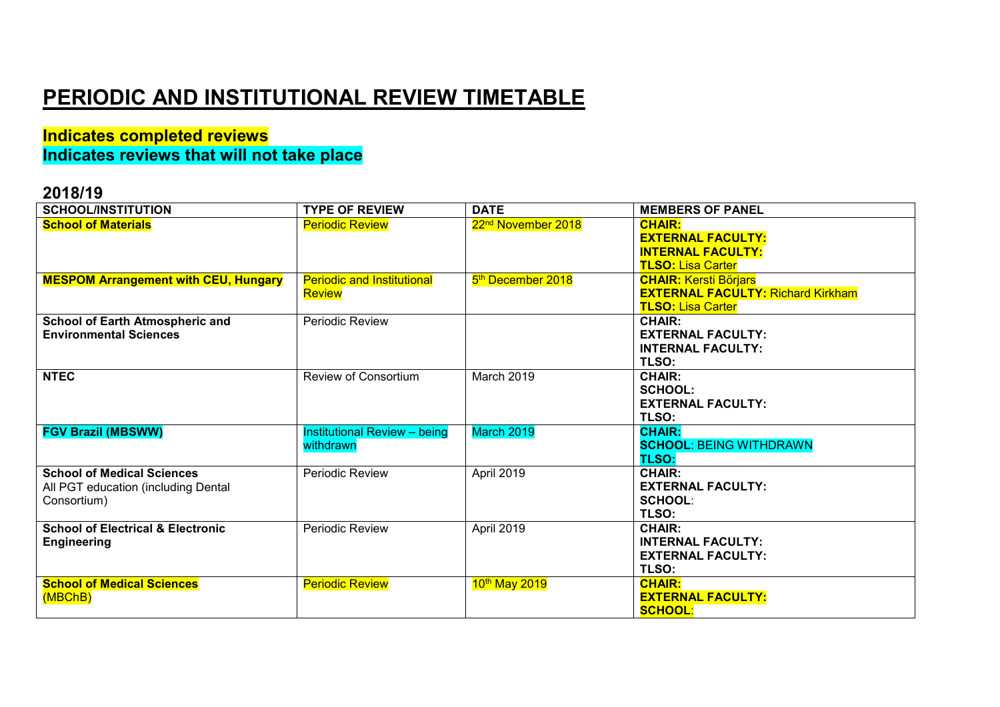# **PERIODIC AND INSTITUTIONAL REVIEW TIMETABLE**

### **Indicates completed reviews Indicates reviews that will not take place**

| <b>SCHOOL/INSTITUTION</b>                    | <b>TYPE OF REVIEW</b>               | <b>DATE</b>                    | <b>MEMBERS OF PANEL</b>                  |
|----------------------------------------------|-------------------------------------|--------------------------------|------------------------------------------|
| <b>School of Materials</b>                   | <b>Periodic Review</b>              | 22 <sup>nd</sup> November 2018 | <b>CHAIR:</b>                            |
|                                              |                                     |                                | <b>EXTERNAL FACULTY:</b>                 |
|                                              |                                     |                                | <b>INTERNAL FACULTY:</b>                 |
|                                              |                                     |                                | <b>TLSO: Lisa Carter</b>                 |
| <b>MESPOM Arrangement with CEU, Hungary</b>  | <b>Periodic and Institutional</b>   | 5 <sup>th</sup> December 2018  | <b>CHAIR: Kersti Börjars</b>             |
|                                              | <b>Review</b>                       |                                | <b>EXTERNAL FACULTY: Richard Kirkham</b> |
|                                              |                                     |                                | <b>TLSO: Lisa Carter</b>                 |
| School of Earth Atmospheric and              | <b>Periodic Review</b>              |                                | <b>CHAIR:</b>                            |
| <b>Environmental Sciences</b>                |                                     |                                | <b>EXTERNAL FACULTY:</b>                 |
|                                              |                                     |                                | <b>INTERNAL FACULTY:</b>                 |
|                                              |                                     |                                | TLSO:                                    |
| <b>NTEC</b>                                  | <b>Review of Consortium</b>         | March 2019                     | <b>CHAIR:</b>                            |
|                                              |                                     |                                | <b>SCHOOL:</b>                           |
|                                              |                                     |                                | <b>EXTERNAL FACULTY:</b>                 |
|                                              |                                     |                                | TLSO:                                    |
| <b>FGV Brazil (MBSWW)</b>                    | <b>Institutional Review - being</b> | March 2019                     | <b>CHAIR:</b>                            |
|                                              | withdrawn                           |                                | <b>SCHOOL: BEING WITHDRAWN</b>           |
|                                              |                                     |                                | <b>TLSO:</b>                             |
| <b>School of Medical Sciences</b>            | Periodic Review                     | April 2019                     | <b>CHAIR:</b>                            |
| All PGT education (including Dental          |                                     |                                | <b>EXTERNAL FACULTY:</b>                 |
| Consortium)                                  |                                     |                                | <b>SCHOOL:</b>                           |
|                                              |                                     |                                | TLSO:                                    |
| <b>School of Electrical &amp; Electronic</b> | Periodic Review                     | April 2019                     | <b>CHAIR:</b>                            |
| <b>Engineering</b>                           |                                     |                                | <b>INTERNAL FACULTY:</b>                 |
|                                              |                                     |                                | <b>EXTERNAL FACULTY:</b><br>TLSO:        |
| <b>School of Medical Sciences</b>            |                                     |                                | <b>CHAIR:</b>                            |
|                                              | <b>Periodic Review</b>              | 10th May 2019                  | <b>EXTERNAL FACULTY:</b>                 |
| (MBChB)                                      |                                     |                                | <b>SCHOOL:</b>                           |
|                                              |                                     |                                |                                          |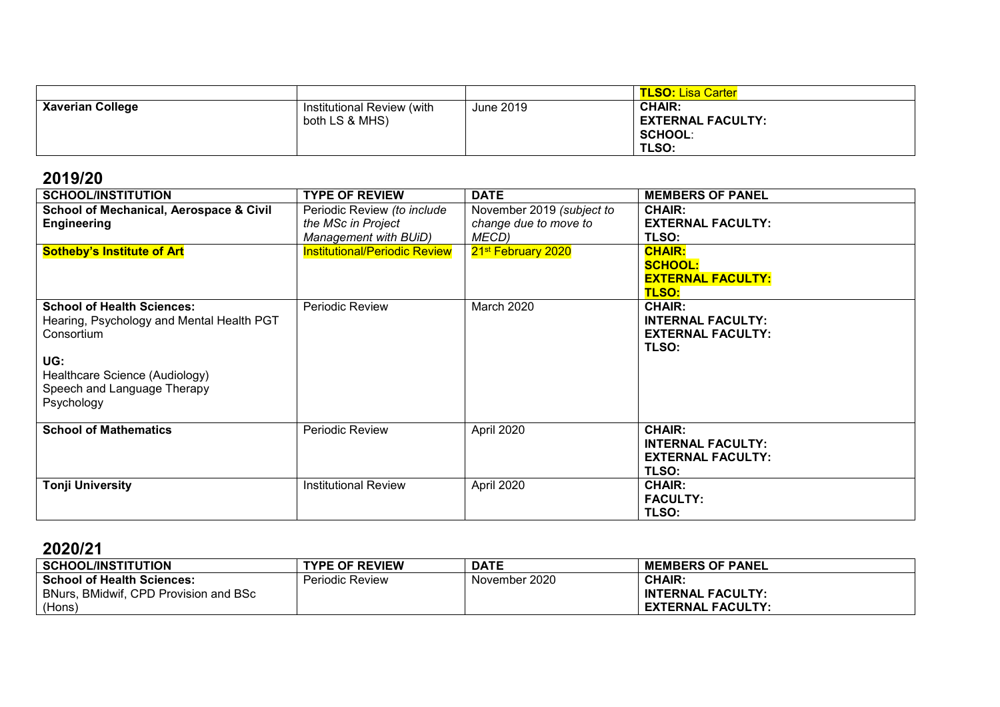|                         |                            |           | TLSO: Lisa Carter        |
|-------------------------|----------------------------|-----------|--------------------------|
| <b>Xaverian College</b> | Institutional Review (with | June 2019 | <b>CHAIR:</b>            |
|                         | both LS & MHS)             |           | <b>EXTERNAL FACULTY:</b> |
|                         |                            |           | <b>SCHOOL:</b>           |
|                         |                            |           | TLSO:                    |

| <b>SCHOOL/INSTITUTION</b>                                                                                                                                                          | <b>TYPE OF REVIEW</b>                                                      | <b>DATE</b>                                                 | <b>MEMBERS OF PANEL</b>                                                        |
|------------------------------------------------------------------------------------------------------------------------------------------------------------------------------------|----------------------------------------------------------------------------|-------------------------------------------------------------|--------------------------------------------------------------------------------|
| <b>School of Mechanical, Aerospace &amp; Civil</b><br><b>Engineering</b>                                                                                                           | Periodic Review (to include<br>the MSc in Project<br>Management with BUiD) | November 2019 (subject to<br>change due to move to<br>MECD) | <b>CHAIR:</b><br><b>EXTERNAL FACULTY:</b><br>TLSO:                             |
| <b>Sotheby's Institute of Art</b>                                                                                                                                                  | <b>Institutional/Periodic Review</b>                                       | 21 <sup>st</sup> February 2020                              | <b>CHAIR:</b><br><b>SCHOOL:</b><br><b>EXTERNAL FACULTY:</b><br><b>TLSO:</b>    |
| <b>School of Health Sciences:</b><br>Hearing, Psychology and Mental Health PGT<br>Consortium<br>UG:<br>Healthcare Science (Audiology)<br>Speech and Language Therapy<br>Psychology | Periodic Review                                                            | <b>March 2020</b>                                           | <b>CHAIR:</b><br><b>INTERNAL FACULTY:</b><br><b>EXTERNAL FACULTY:</b><br>TLSO: |
| <b>School of Mathematics</b>                                                                                                                                                       | <b>Periodic Review</b>                                                     | April 2020                                                  | <b>CHAIR:</b><br><b>INTERNAL FACULTY:</b><br><b>EXTERNAL FACULTY:</b><br>TLSO: |
| <b>Tonji University</b>                                                                                                                                                            | <b>Institutional Review</b>                                                | April 2020                                                  | <b>CHAIR:</b><br><b>FACULTY:</b><br>TLSO:                                      |

| <b>SCHOOL/INSTITUTION</b>             | <b>TYPE OF REVIEW</b>  | <b>DATE</b>   | <b>MEMBERS OF PANEL</b>  |
|---------------------------------------|------------------------|---------------|--------------------------|
| <b>School of Health Sciences:</b>     | <b>Periodic Review</b> | November 2020 | <b>CHAIR:</b>            |
| BNurs, BMidwif, CPD Provision and BSc |                        |               | <b>INTERNAL FACULTY:</b> |
| (Hons)                                |                        |               | <b>EXTERNAL FACULTY:</b> |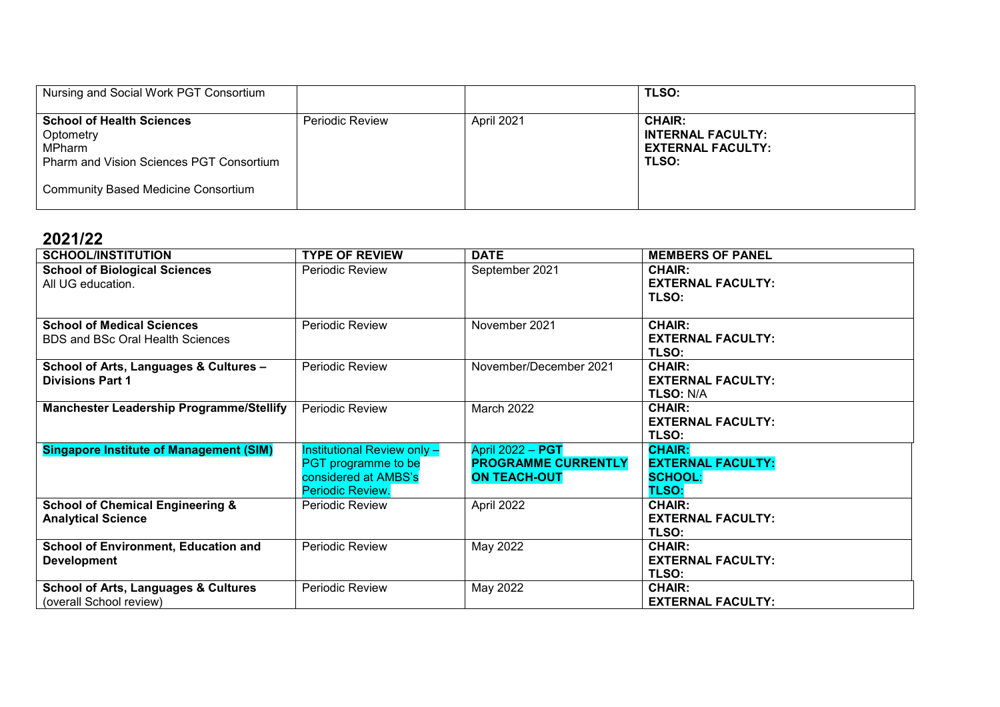| Nursing and Social Work PGT Consortium                                                                                                                          |                        |            | <b>TLSO:</b>                                                                   |
|-----------------------------------------------------------------------------------------------------------------------------------------------------------------|------------------------|------------|--------------------------------------------------------------------------------|
| <b>School of Health Sciences</b><br>Optometry<br><b>MPharm</b><br><b>Pharm and Vision Sciences PGT Consortium</b><br><b>Community Based Medicine Consortium</b> | <b>Periodic Review</b> | April 2021 | <b>CHAIR:</b><br><b>INTERNAL FACULTY:</b><br><b>EXTERNAL FACULTY:</b><br>TLSO: |

| <b>SCHOOL/INSTITUTION</b>                                                  | <b>TYPE OF REVIEW</b>                                                                                 | <b>DATE</b>                                                                  | <b>MEMBERS OF PANEL</b>                                                     |
|----------------------------------------------------------------------------|-------------------------------------------------------------------------------------------------------|------------------------------------------------------------------------------|-----------------------------------------------------------------------------|
| <b>School of Biological Sciences</b><br>All UG education.                  | Periodic Review                                                                                       | September 2021                                                               | <b>CHAIR:</b><br><b>EXTERNAL FACULTY:</b><br>TLSO:                          |
| <b>School of Medical Sciences</b><br>BDS and BSc Oral Health Sciences      | <b>Periodic Review</b>                                                                                | November 2021                                                                | <b>CHAIR:</b><br><b>EXTERNAL FACULTY:</b><br>TLSO:                          |
| School of Arts, Languages & Cultures -<br><b>Divisions Part 1</b>          | <b>Periodic Review</b>                                                                                | November/December 2021                                                       | <b>CHAIR:</b><br><b>EXTERNAL FACULTY:</b><br><b>TLSO: N/A</b>               |
| <b>Manchester Leadership Programme/Stellify</b>                            | Periodic Review                                                                                       | March 2022                                                                   | <b>CHAIR:</b><br><b>EXTERNAL FACULTY:</b><br>TLSO:                          |
| <b>Singapore Institute of Management (SIM)</b>                             | <b>Institutional Review only -</b><br>PGT programme to be<br>considered at AMBS's<br>Periodic Review. | <b>April 2022 - PGT</b><br><b>PROGRAMME CURRENTLY</b><br><b>ON TEACH-OUT</b> | <b>CHAIR:</b><br><b>EXTERNAL FACULTY:</b><br><b>SCHOOL:</b><br><b>TLSO:</b> |
| <b>School of Chemical Engineering &amp;</b><br><b>Analytical Science</b>   | Periodic Review                                                                                       | April 2022                                                                   | <b>CHAIR:</b><br><b>EXTERNAL FACULTY:</b><br>TLSO:                          |
| School of Environment, Education and<br><b>Development</b>                 | Periodic Review                                                                                       | May 2022                                                                     | <b>CHAIR:</b><br><b>EXTERNAL FACULTY:</b><br>TLSO:                          |
| <b>School of Arts, Languages &amp; Cultures</b><br>(overall School review) | Periodic Review                                                                                       | May 2022                                                                     | <b>CHAIR:</b><br><b>EXTERNAL FACULTY:</b>                                   |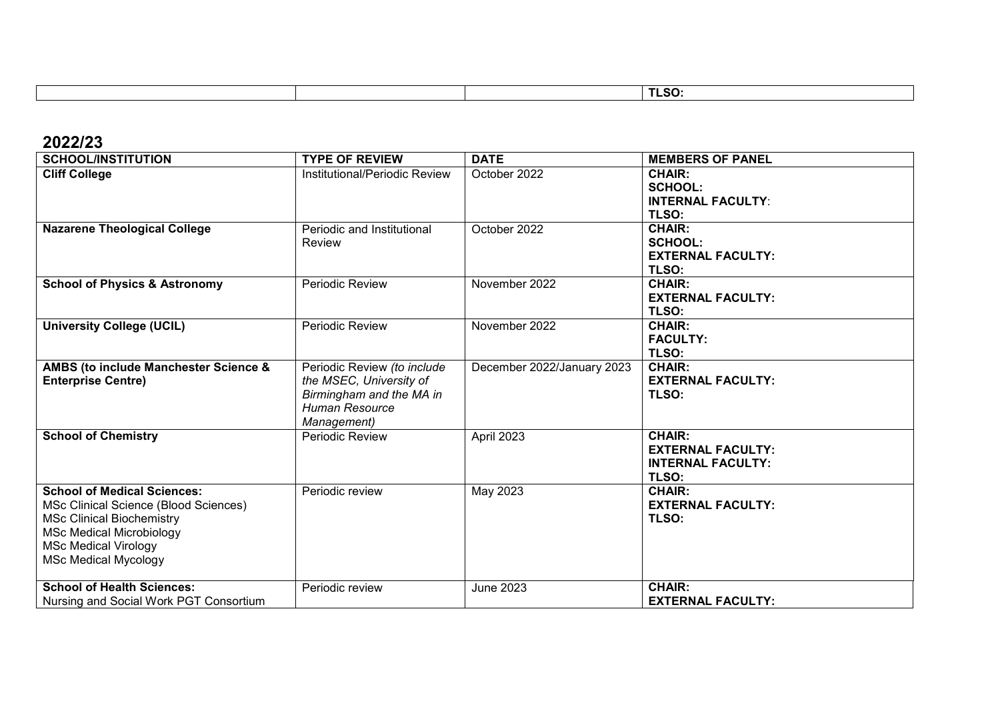|  | ---<br>1 L.J.<br>$\overline{\phantom{0}}$ |
|--|-------------------------------------------|
|  |                                           |

| <b>SCHOOL/INSTITUTION</b>                                                                                                                                                                                        | <b>TYPE OF REVIEW</b>                                                                                               | <b>DATE</b>                | <b>MEMBERS OF PANEL</b>                                                        |
|------------------------------------------------------------------------------------------------------------------------------------------------------------------------------------------------------------------|---------------------------------------------------------------------------------------------------------------------|----------------------------|--------------------------------------------------------------------------------|
| <b>Cliff College</b>                                                                                                                                                                                             | Institutional/Periodic Review                                                                                       | October 2022               | <b>CHAIR:</b><br><b>SCHOOL:</b><br><b>INTERNAL FACULTY:</b><br>TLSO:           |
| <b>Nazarene Theological College</b>                                                                                                                                                                              | Periodic and Institutional<br>Review                                                                                | October 2022               | <b>CHAIR:</b><br><b>SCHOOL:</b><br><b>EXTERNAL FACULTY:</b><br>TLSO:           |
| <b>School of Physics &amp; Astronomy</b>                                                                                                                                                                         | Periodic Review                                                                                                     | November 2022              | <b>CHAIR:</b><br><b>EXTERNAL FACULTY:</b><br><b>TLSO:</b>                      |
| <b>University College (UCIL)</b>                                                                                                                                                                                 | <b>Periodic Review</b>                                                                                              | November 2022              | <b>CHAIR:</b><br><b>FACULTY:</b><br>TLSO:                                      |
| AMBS (to include Manchester Science &<br><b>Enterprise Centre)</b>                                                                                                                                               | Periodic Review (to include<br>the MSEC, University of<br>Birmingham and the MA in<br>Human Resource<br>Management) | December 2022/January 2023 | <b>CHAIR:</b><br><b>EXTERNAL FACULTY:</b><br>TLSO:                             |
| <b>School of Chemistry</b>                                                                                                                                                                                       | Periodic Review                                                                                                     | April 2023                 | <b>CHAIR:</b><br><b>EXTERNAL FACULTY:</b><br><b>INTERNAL FACULTY:</b><br>TLSO: |
| <b>School of Medical Sciences:</b><br>MSc Clinical Science (Blood Sciences)<br><b>MSc Clinical Biochemistry</b><br><b>MSc Medical Microbiology</b><br><b>MSc Medical Virology</b><br><b>MSc Medical Mycology</b> | Periodic review                                                                                                     | May 2023                   | <b>CHAIR:</b><br><b>EXTERNAL FACULTY:</b><br>TLSO:                             |
| <b>School of Health Sciences:</b><br>Nursing and Social Work PGT Consortium                                                                                                                                      | Periodic review                                                                                                     | <b>June 2023</b>           | <b>CHAIR:</b><br><b>EXTERNAL FACULTY:</b>                                      |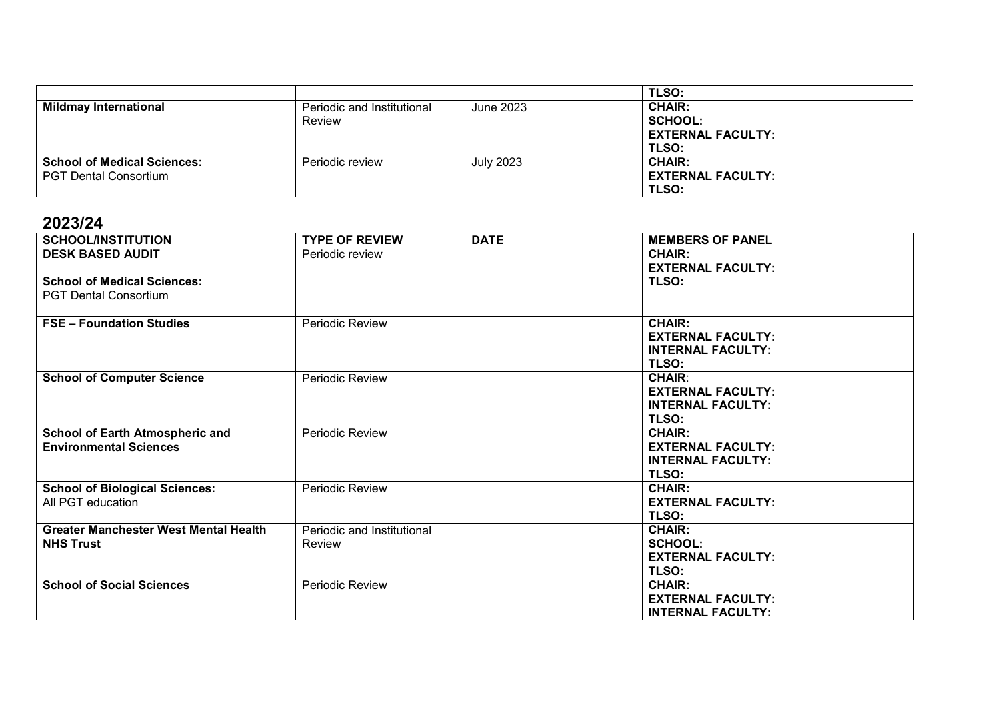|                                                                    |                                      |                  | <b>TLSO:</b>                                                         |
|--------------------------------------------------------------------|--------------------------------------|------------------|----------------------------------------------------------------------|
| <b>Mildmay International</b>                                       | Periodic and Institutional<br>Review | June 2023        | <b>CHAIR:</b><br><b>SCHOOL:</b><br><b>EXTERNAL FACULTY:</b><br>TLSO: |
| <b>School of Medical Sciences:</b><br><b>PGT Dental Consortium</b> | Periodic review                      | <b>July 2023</b> | <b>CHAIR:</b><br><b>EXTERNAL FACULTY:</b><br><b>TLSO:</b>            |

| <b>SCHOOL/INSTITUTION</b>                    | <b>TYPE OF REVIEW</b>      | <b>DATE</b> | <b>MEMBERS OF PANEL</b>  |
|----------------------------------------------|----------------------------|-------------|--------------------------|
| <b>DESK BASED AUDIT</b>                      | Periodic review            |             | <b>CHAIR:</b>            |
|                                              |                            |             | <b>EXTERNAL FACULTY:</b> |
| <b>School of Medical Sciences:</b>           |                            |             | TLSO:                    |
| <b>PGT Dental Consortium</b>                 |                            |             |                          |
|                                              |                            |             |                          |
| <b>FSE - Foundation Studies</b>              | Periodic Review            |             | <b>CHAIR:</b>            |
|                                              |                            |             | <b>EXTERNAL FACULTY:</b> |
|                                              |                            |             | <b>INTERNAL FACULTY:</b> |
|                                              |                            |             | TLSO:                    |
| <b>School of Computer Science</b>            | Periodic Review            |             | <b>CHAIR:</b>            |
|                                              |                            |             | <b>EXTERNAL FACULTY:</b> |
|                                              |                            |             | <b>INTERNAL FACULTY:</b> |
|                                              |                            |             | <b>TLSO:</b>             |
| <b>School of Earth Atmospheric and</b>       | Periodic Review            |             | <b>CHAIR:</b>            |
| <b>Environmental Sciences</b>                |                            |             | <b>EXTERNAL FACULTY:</b> |
|                                              |                            |             | <b>INTERNAL FACULTY:</b> |
|                                              |                            |             | TLSO:                    |
| <b>School of Biological Sciences:</b>        | Periodic Review            |             | <b>CHAIR:</b>            |
| All PGT education                            |                            |             | <b>EXTERNAL FACULTY:</b> |
|                                              |                            |             | TLSO:                    |
| <b>Greater Manchester West Mental Health</b> | Periodic and Institutional |             | <b>CHAIR:</b>            |
| <b>NHS Trust</b>                             | <b>Review</b>              |             | <b>SCHOOL:</b>           |
|                                              |                            |             | <b>EXTERNAL FACULTY:</b> |
|                                              |                            |             | TLSO:                    |
| <b>School of Social Sciences</b>             | Periodic Review            |             | <b>CHAIR:</b>            |
|                                              |                            |             | <b>EXTERNAL FACULTY:</b> |
|                                              |                            |             | <b>INTERNAL FACULTY:</b> |